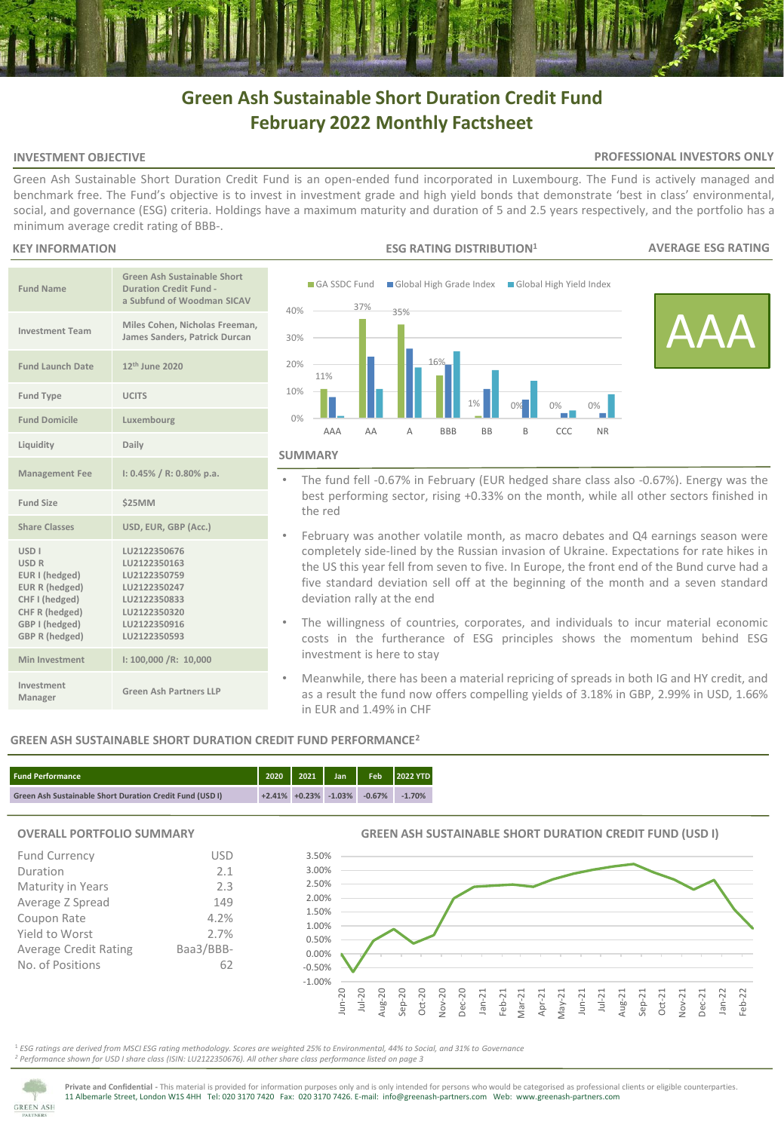# **Green Ash Sustainable Short Duration Credit Fund February 2022 Monthly Factsheet**

## **INVESTMENT OBJECTIVE**

### **PROFESSIONAL INVESTORS ONLY**

Green Ash Sustainable Short Duration Credit Fund is an open-ended fund incorporated in Luxembourg. The Fund is actively managed and benchmark free. The Fund's objective is to invest in investment grade and high yield bonds that demonstrate 'best in class' environmental, social, and governance (ESG) criteria. Holdings have a maximum maturity and duration of 5 and 2.5 years respectively, and the portfolio has a minimum average credit rating of BBB-.

## **KEY INFORMATION**

| <b>Fund Name</b>                                                                                                                                          | <b>Green Ash Sustainable Short</b><br><b>Duration Credit Fund -</b><br>a Subfund of Woodman SICAV                            |
|-----------------------------------------------------------------------------------------------------------------------------------------------------------|------------------------------------------------------------------------------------------------------------------------------|
| <b>Investment Team</b>                                                                                                                                    | Miles Cohen, Nicholas Freeman,<br>James Sanders, Patrick Durcan                                                              |
| <b>Fund Launch Date</b>                                                                                                                                   | 12 <sup>th</sup> June 2020                                                                                                   |
| <b>Fund Type</b>                                                                                                                                          | <b>UCITS</b>                                                                                                                 |
| <b>Fund Domicile</b>                                                                                                                                      | Luxembourg                                                                                                                   |
| Liquidity                                                                                                                                                 | Daily                                                                                                                        |
| <b>Management Fee</b>                                                                                                                                     | $1: 0.45\% / R: 0.80\%$ p.a.                                                                                                 |
| Fund Size                                                                                                                                                 | \$25MM                                                                                                                       |
| <b>Share Classes</b>                                                                                                                                      | USD, EUR, GBP (Acc.)                                                                                                         |
| <b>USD<sub>I</sub></b><br><b>USD R</b><br>EUR I (hedged)<br>EUR R (hedged)<br>CHF I (hedged)<br>CHF R (hedged)<br>GBP I (hedged)<br><b>GBP R (hedged)</b> | LU2122350676<br>LU2122350163<br>LU2122350759<br>LU2122350247<br>LU2122350833<br>LU2122350320<br>LU2122350916<br>LU2122350593 |
| Min Investment                                                                                                                                            | 1: 100,000 / R: 10,000                                                                                                       |
| Investment<br>Manager                                                                                                                                     | Green Ash Partners LLP                                                                                                       |



- The fund fell -0.67% in February (EUR hedged share class also -0.67%). Energy was the best performing sector, rising +0.33% on the month, while all other sectors finished in the red
- February was another volatile month, as macro debates and Q4 earnings season were completely side-lined by the Russian invasion of Ukraine. Expectations for rate hikes in the US this year fell from seven to five. In Europe, the front end of the Bund curve had a five standard deviation sell off at the beginning of the month and a seven standard deviation rally at the end
- The willingness of countries, corporates, and individuals to incur material economic costs in the furtherance of ESG principles shows the momentum behind ESG investment is here to stay
- Meanwhile, there has been a material repricing of spreads in both IG and HY credit, and as a result the fund now offers compelling yields of 3.18% in GBP, 2.99% in USD, 1.66% in EUR and 1.49% in CHF

# **GREEN ASH SUSTAINABLE SHORT DURATION CREDIT FUND PERFORMANCE<sup>2</sup>**

| <b>Fund Performance</b>                                         |  |                                   | 2020 2021 Jan Feb 2022 YTD |
|-----------------------------------------------------------------|--|-----------------------------------|----------------------------|
| <b>Green Ash Sustainable Short Duration Credit Fund (USD I)</b> |  | $+2.41\% +0.23\% -1.03\% -0.67\%$ | $-1.70%$                   |

## **OVERALL PORTFOLIO SUMMARY**

| <b>Fund Currency</b>         | USD       |
|------------------------------|-----------|
| Duration                     | 2.1       |
| Maturity in Years            | 2.3       |
| Average Z Spread             | 149       |
| Coupon Rate                  | 4.2%      |
| Yield to Worst               | 2.7%      |
| <b>Average Credit Rating</b> | Baa3/BBB- |
| No. of Positions             | 62        |

# **GREEN ASH SUSTAINABLE SHORT DURATION CREDIT FUND (USD I)**



<sup>1</sup> *ESG ratings are derived from MSCI ESG rating methodology. Scores are weighted 25% to Environmental, 44% to Social, and 31% to Governance <sup>2</sup> Performance shown for USD I share class (ISIN: LU2122350676). All other share class performance listed on page 3* 



**Private and Confidential -** This material is provided for information purposes only and is only intended for persons who would be categorised as professional clients or eligible counterparties. 11 Albemarle Street, London W1S 4HH Tel: 020 3170 7420 Fax: 020 3170 7426. E-mail: info@greenash-partners.com Web: www.greenash-partners.com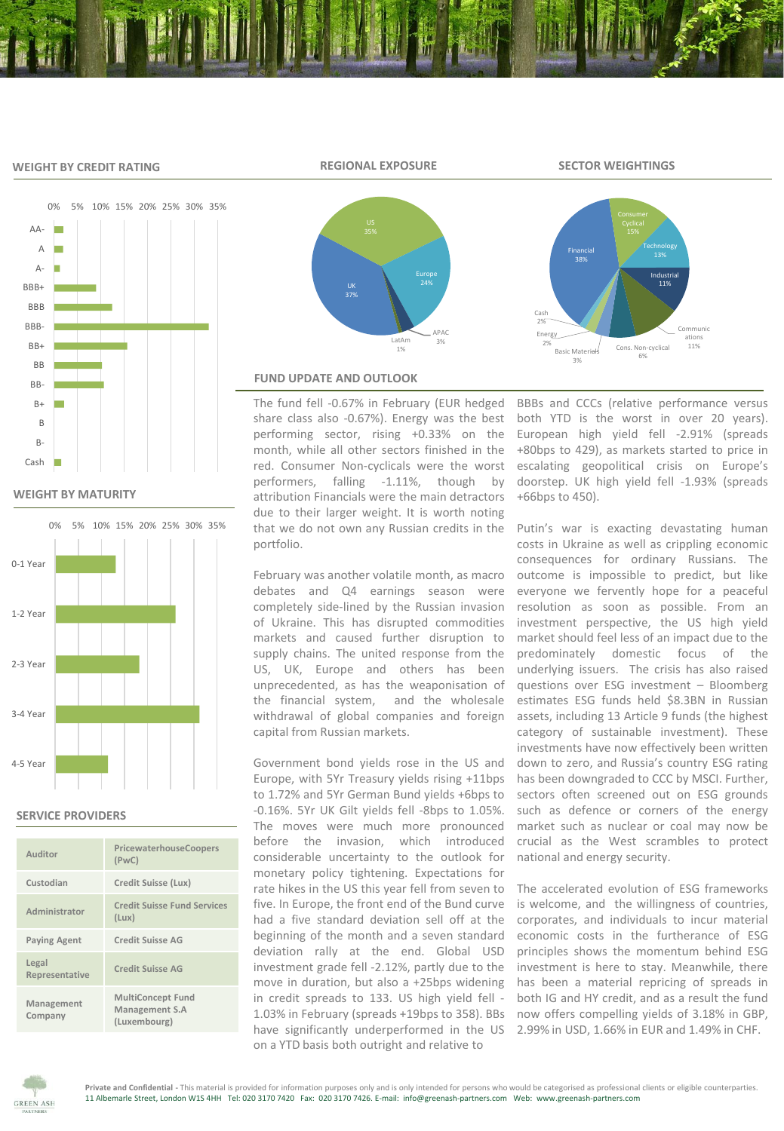## **WEIGHT BY CREDIT RATING**



Financial

**Basic Mate** 3%

Energy 2%

Cash 2%



# **WEIGHT BY MATURITY**



# **SERVICE PROVIDERS**

| Auditor                 | PricewaterhouseCoopers<br>(PWC)                            |
|-------------------------|------------------------------------------------------------|
| Custodian               | Credit Suisse (Lux)                                        |
| Administrator           | <b>Credit Suisse Fund Services</b><br>(Lux)                |
| <b>Paying Agent</b>     | <b>Credit Suisse AG</b>                                    |
| Legal<br>Representative | <b>Credit Suisse AG</b>                                    |
| Management<br>Company   | <b>MultiConcept Fund</b><br>Management S.A<br>(Luxembourg) |



## **FUND UPDATE AND OUTLOOK**

The fund fell -0.67% in February (EUR hedged share class also -0.67%). Energy was the best performing sector, rising +0.33% on the month, while all other sectors finished in the red. Consumer Non-cyclicals were the worst performers, falling -1.11%, though by attribution Financials were the main detractors due to their larger weight. It is worth noting that we do not own any Russian credits in the portfolio.

February was another volatile month, as macro debates and Q4 earnings season were completely side-lined by the Russian invasion of Ukraine. This has disrupted commodities markets and caused further disruption to supply chains. The united response from the US, UK, Europe and others has been unprecedented, as has the weaponisation of the financial system, and the wholesale withdrawal of global companies and foreign capital from Russian markets.

Government bond yields rose in the US and Europe, with 5Yr Treasury yields rising +11bps to 1.72% and 5Yr German Bund yields +6bps to -0.16%. 5Yr UK Gilt yields fell -8bps to 1.05%. The moves were much more pronounced before the invasion, which introduced considerable uncertainty to the outlook for monetary policy tightening. Expectations for rate hikes in the US this year fell from seven to five. In Europe, the front end of the Bund curve had a five standard deviation sell off at the beginning of the month and a seven standard deviation rally at the end. Global USD investment grade fell -2.12%, partly due to the move in duration, but also a +25bps widening in credit spreads to 133. US high yield fell - 1.03% in February (spreads +19bps to 358). BBs now offers compelling yields of 3.18% in GBP, have significantly underperformed in the US 2.99% in USD, 1.66% in EUR and 1.49% in CHF. on a YTD basis both outright and relative to

BBBs and CCCs (relative performance versus both YTD is the worst in over 20 years). European high yield fell -2.91% (spreads +80bps to 429), as markets started to price in escalating geopolitical crisis on Europe's doorstep. UK high yield fell -1.93% (spreads +66bps to 450).

Cons. Non-cyclical 6%

Technology

Industrial 11%

> Communic 11%

Putin's war is exacting devastating human costs in Ukraine as well as crippling economic consequences for ordinary Russians. The outcome is impossible to predict, but like everyone we fervently hope for a peaceful resolution as soon as possible. From an investment perspective, the US high yield market should feel less of an impact due to the predominately domestic focus of the underlying issuers. The crisis has also raised questions over ESG investment – Bloomberg estimates ESG funds held \$8.3BN in Russian assets, including 13 Article 9 funds (the highest category of sustainable investment). These investments have now effectively been written down to zero, and Russia's country ESG rating has been downgraded to CCC by MSCI. Further, sectors often screened out on ESG grounds such as defence or corners of the energy market such as nuclear or coal may now be crucial as the West scrambles to protect national and energy security.

The accelerated evolution of ESG frameworks is welcome, and the willingness of countries, corporates, and individuals to incur material economic costs in the furtherance of ESG principles shows the momentum behind ESG investment is here to stay. Meanwhile, there has been a material repricing of spreads in both IG and HY credit, and as a result the fund